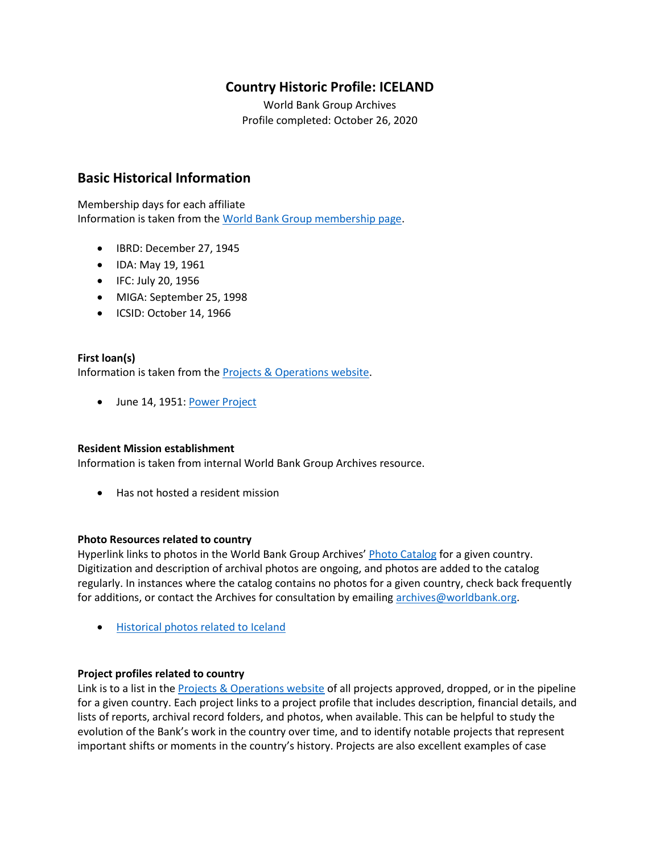# **Country Historic Profile: ICELAND**

World Bank Group Archives Profile completed: October 26, 2020

## **Basic Historical Information**

Membership days for each affiliate Information is taken from the [World Bank Group membership page.](https://www.worldbank.org/en/about/leadership/members#1)

- IBRD: December 27, 1945
- IDA: May 19, 1961
- IFC: July 20, 1956
- MIGA: September 25, 1998
- ICSID: October 14, 1966

#### **First loan(s)**

Information is taken from the [Projects & Operations website.](https://projects.worldbank.org/)

• June 14, 1951: [Power Project](https://projects.worldbank.org/en/projects-operations/project-detail/P037384)

#### **Resident Mission establishment**

Information is taken from internal World Bank Group Archives resource.

• Has not hosted a resident mission

#### **Photo Resources related to country**

Hyperlink links to photos in the World Bank Group Archives' [Photo Catalog](https://archivesphotos.worldbank.org/en/about/archives/photo-gallery) for a given country. Digitization and description of archival photos are ongoing, and photos are added to the catalog regularly. In instances where the catalog contains no photos for a given country, check back frequently for additions, or contact the Archives for consultation by emailing [archives@worldbank.org.](mailto:archives@worldbank.org)

• [Historical photos related to Iceland](https://archivesphotos.worldbank.org/en/about/archives/photo-gallery/photo-gallery-landing?qterm=Iceland&x=0&y=0)

#### **Project profiles related to country**

Link is to a list in the [Projects & Operations website](https://projects.worldbank.org/) of all projects approved, dropped, or in the pipeline for a given country. Each project links to a project profile that includes description, financial details, and lists of reports, archival record folders, and photos, when available. This can be helpful to study the evolution of the Bank's work in the country over time, and to identify notable projects that represent important shifts or moments in the country's history. Projects are also excellent examples of case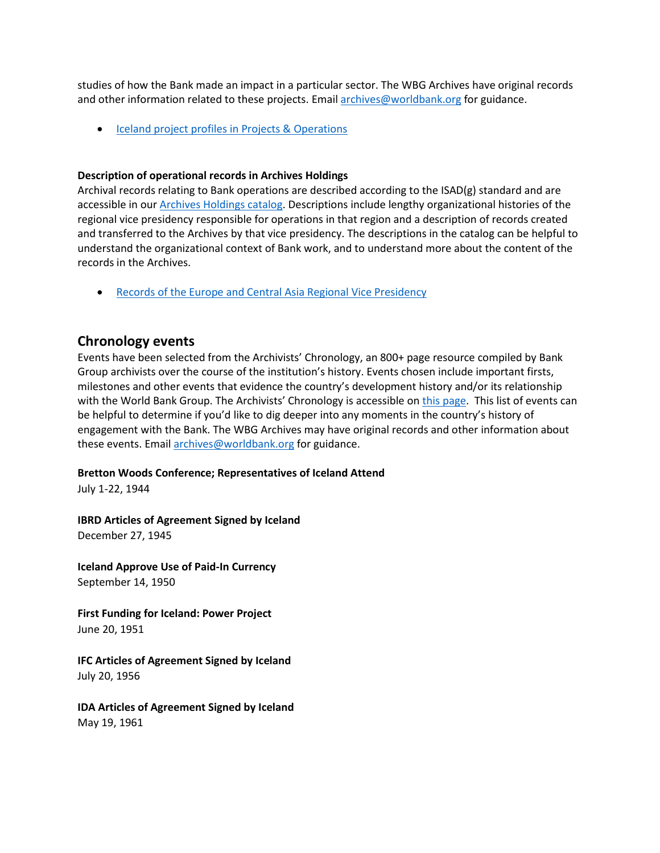studies of how the Bank made an impact in a particular sector. The WBG Archives have original records and other information related to these projects. Email [archives@worldbank.org](mailto:archives@worldbank.org) for guidance.

• [Iceland project profiles in Projects & Operations](https://projects.worldbank.org/en/projects-operations/projects-summary?countrycode_exact=IS)

#### **Description of operational records in Archives Holdings**

Archival records relating to Bank operations are described according to the ISAD(g) standard and are accessible in our [Archives Holdings catalog.](https://archivesholdings.worldbank.org/) Descriptions include lengthy organizational histories of the regional vice presidency responsible for operations in that region and a description of records created and transferred to the Archives by that vice presidency. The descriptions in the catalog can be helpful to understand the organizational context of Bank work, and to understand more about the content of the records in the Archives.

• [Records of the Europe and Central Asia Regional Vice Presidency](https://archivesholdings.worldbank.org/records-of-europe-and-central-asia-regional-vice-presidency)

### **Chronology events**

Events have been selected from the Archivists' Chronology, an 800+ page resource compiled by Bank Group archivists over the course of the institution's history. Events chosen include important firsts, milestones and other events that evidence the country's development history and/or its relationship with the World Bank Group. The Archivists' Chronology is accessible on [this page.](https://www.worldbank.org/en/about/archives/history/timeline) This list of events can be helpful to determine if you'd like to dig deeper into any moments in the country's history of engagement with the Bank. The WBG Archives may have original records and other information about these events. Email [archives@worldbank.org](mailto:archives@worldbank.org) for guidance.

#### **Bretton Woods Conference; Representatives of Iceland Attend**

July 1-22, 1944

**IBRD Articles of Agreement Signed by Iceland**  December 27, 1945

**Iceland Approve Use of Paid-In Currency** September 14, 1950

**First Funding for Iceland: Power Project**  June 20, 1951

**IFC Articles of Agreement Signed by Iceland** July 20, 1956

**IDA Articles of Agreement Signed by Iceland** May 19, 1961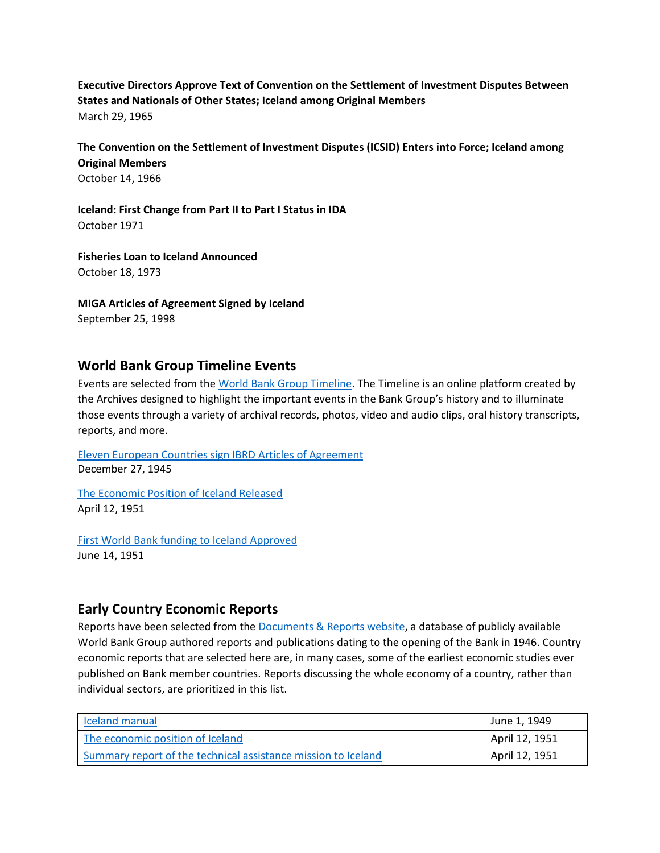**Executive Directors Approve Text of Convention on the Settlement of Investment Disputes Between States and Nationals of Other States; Iceland among Original Members**  March 29, 1965

**The Convention on the Settlement of Investment Disputes (ICSID) Enters into Force; Iceland among Original Members**  October 14, 1966

**Iceland: First Change from Part II to Part I Status in IDA** October 1971

**Fisheries Loan to Iceland Announced** October 18, 1973

**MIGA Articles of Agreement Signed by Iceland** September 25, 1998

## **World Bank Group Timeline Events**

Events are selected from th[e World Bank Group Timeline.](https://timeline.worldbank.org/#event-bretton-woods-conference-begins) The Timeline is an online platform created by the Archives designed to highlight the important events in the Bank Group's history and to illuminate those events through a variety of archival records, photos, video and audio clips, oral history transcripts, reports, and more.

Eleven European [Countries sign IBRD Articles of Agreement](https://timeline.worldbank.org/?field_timeline_target_id=All&combine=Iceland#event-eleven-european-countries-sign-ibrd-articles-of-agreement) December 27, 1945

[The Economic Position of Iceland Released](https://timeline.worldbank.org/?field_timeline_target_id=All&combine=Iceland#event-the-economic-position-of-iceland-released) April 12, 1951

[First World Bank funding to Iceland Approved](https://timeline.worldbank.org/?field_timeline_target_id=All&combine=Iceland#event-first-world-bank-funding-to-iceland-approved) June 14, 1951

## **Early Country Economic Reports**

Reports have been selected from the [Documents & Reports website,](https://documents.worldbank.org/) a database of publicly available World Bank Group authored reports and publications dating to the opening of the Bank in 1946. Country economic reports that are selected here are, in many cases, some of the earliest economic studies ever published on Bank member countries. Reports discussing the whole economy of a country, rather than individual sectors, are prioritized in this list.

| <b>Iceland manual</b>                                         | June 1, 1949   |
|---------------------------------------------------------------|----------------|
| The economic position of Iceland                              | April 12, 1951 |
| Summary report of the technical assistance mission to Iceland | April 12, 1951 |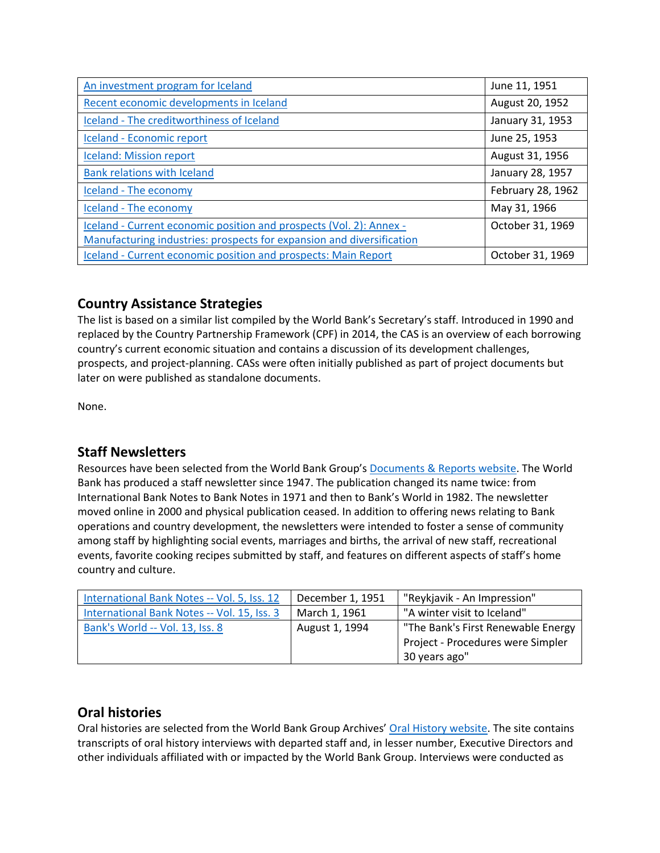| An investment program for Iceland                                     | June 11, 1951     |
|-----------------------------------------------------------------------|-------------------|
| Recent economic developments in Iceland                               | August 20, 1952   |
| Iceland - The creditworthiness of Iceland                             | January 31, 1953  |
| Iceland - Economic report                                             | June 25, 1953     |
| <b>Iceland: Mission report</b>                                        | August 31, 1956   |
| <b>Bank relations with Iceland</b>                                    | January 28, 1957  |
| Iceland - The economy                                                 | February 28, 1962 |
| Iceland - The economy                                                 | May 31, 1966      |
| Iceland - Current economic position and prospects (Vol. 2): Annex -   | October 31, 1969  |
| Manufacturing industries: prospects for expansion and diversification |                   |
| Iceland - Current economic position and prospects: Main Report        | October 31, 1969  |

# **Country Assistance Strategies**

The list is based on a similar list compiled by the World Bank's Secretary's staff. Introduced in 1990 and replaced by the Country Partnership Framework (CPF) in 2014, the CAS is an overview of each borrowing country's current economic situation and contains a discussion of its development challenges, prospects, and project-planning. CASs were often initially published as part of project documents but later on were published as standalone documents.

None.

# **Staff Newsletters**

Resources have been selected from the World Bank Group's [Documents & Reports website.](https://documents.worldbank.org/) The World Bank has produced a staff newsletter since 1947. The publication changed its name twice: from International Bank Notes to Bank Notes in 1971 and then to Bank's World in 1982. The newsletter moved online in 2000 and physical publication ceased. In addition to offering news relating to Bank operations and country development, the newsletters were intended to foster a sense of community among staff by highlighting social events, marriages and births, the arrival of new staff, recreational events, favorite cooking recipes submitted by staff, and features on different aspects of staff's home country and culture.

| International Bank Notes -- Vol. 5, Iss. 12 | December 1, 1951 | "Reykjavik - An Impression"        |  |
|---------------------------------------------|------------------|------------------------------------|--|
| International Bank Notes -- Vol. 15, Iss. 3 | March 1, 1961    | "A winter visit to Iceland"        |  |
| Bank's World -- Vol. 13, Iss. 8             | August 1, 1994   | "The Bank's First Renewable Energy |  |
|                                             |                  | Project - Procedures were Simpler  |  |
|                                             |                  | 30 years ago"                      |  |

## **Oral histories**

Oral histories are selected from the World Bank Group Archives' [Oral History website.](https://oralhistory.worldbank.org/) The site contains transcripts of oral history interviews with departed staff and, in lesser number, Executive Directors and other individuals affiliated with or impacted by the World Bank Group. Interviews were conducted as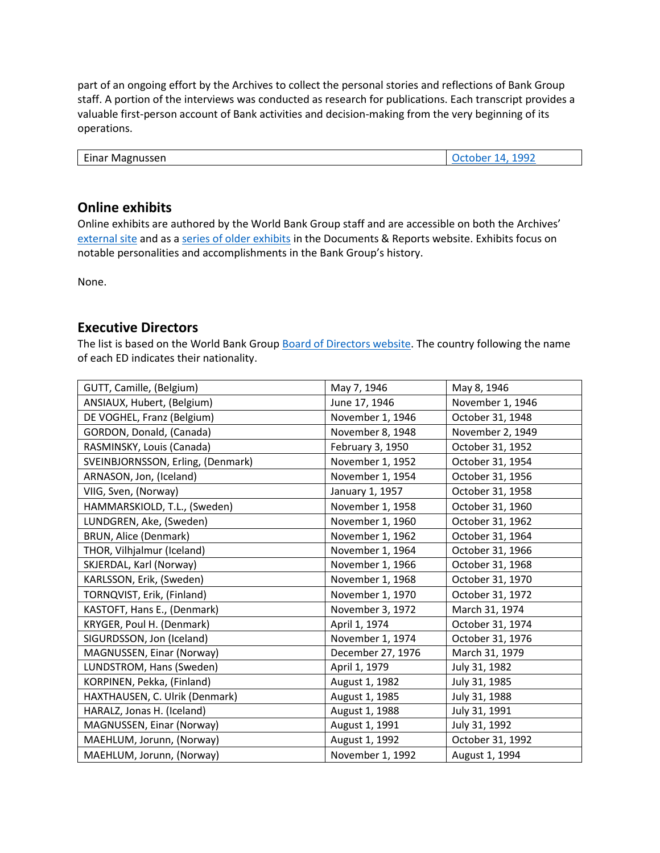part of an ongoing effort by the Archives to collect the personal stories and reflections of Bank Group staff. A portion of the interviews was conducted as research for publications. Each transcript provides a valuable first-person account of Bank activities and decision-making from the very beginning of its operations.

| $\overline{\phantom{a}}$<br>Einar<br>' Magnussen | 199 <sup>°</sup> |
|--------------------------------------------------|------------------|

## **Online exhibits**

Online exhibits are authored by the World Bank Group staff and are accessible on both the Archives' [external site](https://www.worldbank.org/en/about/archives/history/exhibits) and as a [series of older exhibits](https://documents.worldbank.org/en/publication/documents-reports/documentlist?colti=World%20Bank%20Group%20Archives%20exhibit%20series) in the Documents & Reports website. Exhibits focus on notable personalities and accomplishments in the Bank Group's history.

None.

## **Executive Directors**

The list is based on the World Bank Group [Board of Directors website.](https://worldbankgroup.sharepoint.com/sites/wbsites/ExecutiveBoard/Pages/pc/About-the-Boards-05222019-155532/List-of-Executi-05222019-155839.aspx) The country following the name of each ED indicates their nationality.

| GUTT, Camille, (Belgium)          | May 7, 1946       | May 8, 1946      |
|-----------------------------------|-------------------|------------------|
| ANSIAUX, Hubert, (Belgium)        | June 17, 1946     | November 1, 1946 |
| DE VOGHEL, Franz (Belgium)        | November 1, 1946  | October 31, 1948 |
| GORDON, Donald, (Canada)          | November 8, 1948  | November 2, 1949 |
| RASMINSKY, Louis (Canada)         | February 3, 1950  | October 31, 1952 |
| SVEINBJORNSSON, Erling, (Denmark) | November 1, 1952  | October 31, 1954 |
| ARNASON, Jon, (Iceland)           | November 1, 1954  | October 31, 1956 |
| VIIG, Sven, (Norway)              | January 1, 1957   | October 31, 1958 |
| HAMMARSKIOLD, T.L., (Sweden)      | November 1, 1958  | October 31, 1960 |
| LUNDGREN, Ake, (Sweden)           | November 1, 1960  | October 31, 1962 |
| <b>BRUN, Alice (Denmark)</b>      | November 1, 1962  | October 31, 1964 |
| THOR, Vilhjalmur (Iceland)        | November 1, 1964  | October 31, 1966 |
| SKJERDAL, Karl (Norway)           | November 1, 1966  | October 31, 1968 |
| KARLSSON, Erik, (Sweden)          | November 1, 1968  | October 31, 1970 |
| TORNQVIST, Erik, (Finland)        | November 1, 1970  | October 31, 1972 |
| KASTOFT, Hans E., (Denmark)       | November 3, 1972  | March 31, 1974   |
| KRYGER, Poul H. (Denmark)         | April 1, 1974     | October 31, 1974 |
| SIGURDSSON, Jon (Iceland)         | November 1, 1974  | October 31, 1976 |
| MAGNUSSEN, Einar (Norway)         | December 27, 1976 | March 31, 1979   |
| LUNDSTROM, Hans (Sweden)          | April 1, 1979     | July 31, 1982    |
| KORPINEN, Pekka, (Finland)        | August 1, 1982    | July 31, 1985    |
| HAXTHAUSEN, C. Ulrik (Denmark)    | August 1, 1985    | July 31, 1988    |
| HARALZ, Jonas H. (Iceland)        | August 1, 1988    | July 31, 1991    |
| MAGNUSSEN, Einar (Norway)         | August 1, 1991    | July 31, 1992    |
| MAEHLUM, Jorunn, (Norway)         | August 1, 1992    | October 31, 1992 |
| MAEHLUM, Jorunn, (Norway)         | November 1, 1992  | August 1, 1994   |